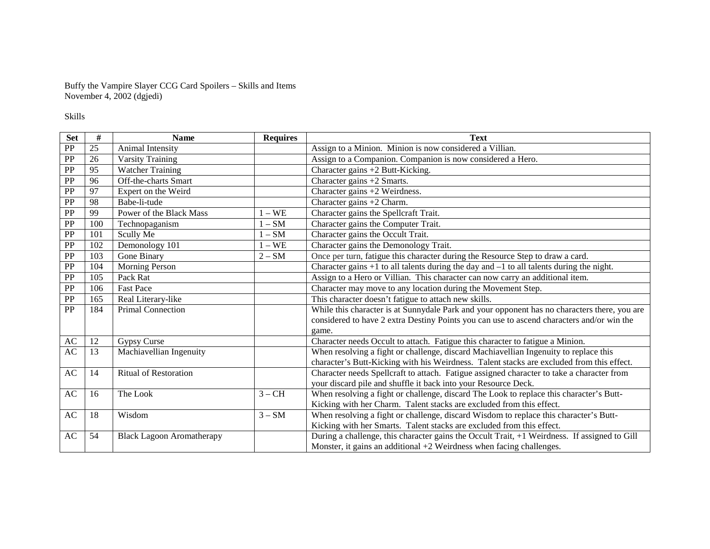Buffy the Vampire Slayer CCG Card Spoilers – Skills and Items November 4, 2002 (dgjedi)

Skills

| <b>Set</b>             | #   | <b>Name</b>                      | <b>Requires</b> | <b>Text</b>                                                                                  |
|------------------------|-----|----------------------------------|-----------------|----------------------------------------------------------------------------------------------|
| PP                     | 25  | <b>Animal Intensity</b>          |                 | Assign to a Minion. Minion is now considered a Villian.                                      |
| PP                     | 26  | <b>Varsity Training</b>          |                 | Assign to a Companion. Companion is now considered a Hero.                                   |
| PP                     | 95  | <b>Watcher Training</b>          |                 | Character gains +2 Butt-Kicking.                                                             |
| PP                     | 96  | Off-the-charts Smart             |                 | Character gains $+2$ Smarts.                                                                 |
| PP                     | 97  | Expert on the Weird              |                 | Character gains +2 Weirdness.                                                                |
| PP                     | 98  | Babe-li-tude                     |                 | Character gains $+2$ Charm.                                                                  |
| PP                     | 99  | Power of the Black Mass          | $1 - WE$        | Character gains the Spellcraft Trait.                                                        |
| PP                     | 100 | Technopaganism                   | $-SM$           | Character gains the Computer Trait.                                                          |
| PP                     | 101 | Scully Me                        | $1-SM$          | Character gains the Occult Trait.                                                            |
| PP                     | 102 | Demonology 101                   | $1 - WE$        | Character gains the Demonology Trait.                                                        |
| PP                     | 103 | Gone Binary                      | $2-SM$          | Once per turn, fatigue this character during the Resource Step to draw a card.               |
| PP                     | 104 | <b>Morning Person</b>            |                 | Character gains $+1$ to all talents during the day and $-1$ to all talents during the night. |
| PP                     | 105 | Pack Rat                         |                 | Assign to a Hero or Villian. This character can now carry an additional item.                |
| PP                     | 106 | <b>Fast Pace</b>                 |                 | Character may move to any location during the Movement Step.                                 |
| PP                     | 165 | Real Literary-like               |                 | This character doesn't fatigue to attach new skills.                                         |
| PP                     | 184 | <b>Primal Connection</b>         |                 | While this character is at Sunnydale Park and your opponent has no characters there, you are |
|                        |     |                                  |                 | considered to have 2 extra Destiny Points you can use to ascend characters and/or win the    |
|                        |     |                                  |                 | game.                                                                                        |
| AC                     | 12  | Gypsy Curse                      |                 | Character needs Occult to attach. Fatigue this character to fatigue a Minion.                |
| AC                     | 13  | Machiavellian Ingenuity          |                 | When resolving a fight or challenge, discard Machiavellian Ingenuity to replace this         |
|                        |     |                                  |                 | character's Butt-Kicking with his Weirdness. Talent stacks are excluded from this effect.    |
| $\mathbf{A}\mathbf{C}$ | 14  | <b>Ritual of Restoration</b>     |                 | Character needs Spellcraft to attach. Fatigue assigned character to take a character from    |
|                        |     |                                  |                 | your discard pile and shuffle it back into your Resource Deck.                               |
| AC                     | 16  | The Look                         | $3 - CH$        | When resolving a fight or challenge, discard The Look to replace this character's Butt-      |
|                        |     |                                  |                 | Kicking with her Charm. Talent stacks are excluded from this effect.                         |
| AC                     | 18  | Wisdom                           | $3 - SM$        | When resolving a fight or challenge, discard Wisdom to replace this character's Butt-        |
|                        |     |                                  |                 | Kicking with her Smarts. Talent stacks are excluded from this effect.                        |
| AC                     | 54  | <b>Black Lagoon Aromatherapy</b> |                 | During a challenge, this character gains the Occult Trait, +1 Weirdness. If assigned to Gill |
|                        |     |                                  |                 | Monster, it gains an additional $+2$ Weirdness when facing challenges.                       |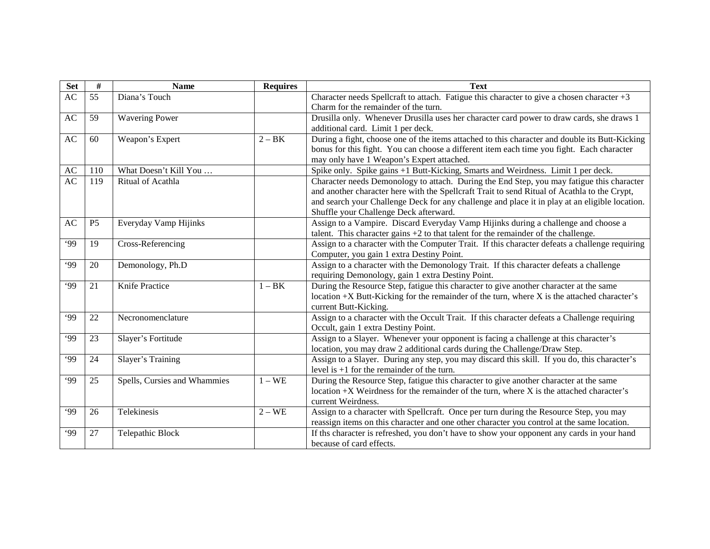| <b>Set</b> | $\#$           | <b>Name</b>                  | <b>Requires</b> | <b>Text</b>                                                                                    |
|------------|----------------|------------------------------|-----------------|------------------------------------------------------------------------------------------------|
| AC         | 55             | Diana's Touch                |                 | Character needs Spellcraft to attach. Fatigue this character to give a chosen character $+3$   |
|            |                |                              |                 | Charm for the remainder of the turn.                                                           |
| AC         | 59             | <b>Wavering Power</b>        |                 | Drusilla only. Whenever Drusilla uses her character card power to draw cards, she draws 1      |
|            |                |                              |                 | additional card. Limit 1 per deck.                                                             |
| AC         | 60             | Weapon's Expert              | $2 - BK$        | During a fight, choose one of the items attached to this character and double its Butt-Kicking |
|            |                |                              |                 | bonus for this fight. You can choose a different item each time you fight. Each character      |
|            |                |                              |                 | may only have 1 Weapon's Expert attached.                                                      |
| AC         | 110            | What Doesn't Kill You        |                 | Spike only. Spike gains +1 Butt-Kicking, Smarts and Weirdness. Limit 1 per deck.               |
| AC         | 119            | Ritual of Acathla            |                 | Character needs Demonology to attach. During the End Step, you may fatigue this character      |
|            |                |                              |                 | and another character here with the Spellcraft Trait to send Ritual of Acathla to the Crypt,   |
|            |                |                              |                 | and search your Challenge Deck for any challenge and place it in play at an eligible location. |
|            |                |                              |                 | Shuffle your Challenge Deck afterward.                                                         |
| AC         | P <sub>5</sub> | Everyday Vamp Hijinks        |                 | Assign to a Vampire. Discard Everyday Vamp Hijinks during a challenge and choose a             |
|            |                |                              |                 | talent. This character gains $+2$ to that talent for the remainder of the challenge.           |
| .99        | 19             | Cross-Referencing            |                 | Assign to a character with the Computer Trait. If this character defeats a challenge requiring |
|            |                |                              |                 | Computer, you gain 1 extra Destiny Point.                                                      |
| .99        | 20             | Demonology, Ph.D             |                 | Assign to a character with the Demonology Trait. If this character defeats a challenge         |
|            |                |                              |                 | requiring Demonology, gain 1 extra Destiny Point.                                              |
| .99        | 21             | Knife Practice               | $1 - BK$        | During the Resource Step, fatigue this character to give another character at the same         |
|            |                |                              |                 | location +X Butt-Kicking for the remainder of the turn, where X is the attached character's    |
|            |                |                              |                 | current Butt-Kicking.                                                                          |
| .99        | 22             | Necronomenclature            |                 | Assign to a character with the Occult Trait. If this character defeats a Challenge requiring   |
|            |                |                              |                 | Occult, gain 1 extra Destiny Point.                                                            |
| .99        | 23             | Slayer's Fortitude           |                 | Assign to a Slayer. Whenever your opponent is facing a challenge at this character's           |
|            |                |                              |                 | location, you may draw 2 additional cards during the Challenge/Draw Step.                      |
| .99        | 24             | Slayer's Training            |                 | Assign to a Slayer. During any step, you may discard this skill. If you do, this character's   |
|            |                |                              |                 | level is $+1$ for the remainder of the turn.                                                   |
| .99        | 25             | Spells, Cursies and Whammies | $1 - WE$        | During the Resource Step, fatigue this character to give another character at the same         |
|            |                |                              |                 | location +X Weirdness for the remainder of the turn, where X is the attached character's       |
|            |                |                              |                 | current Weirdness.                                                                             |
| .99        | 26             | Telekinesis                  | $2 - WE$        | Assign to a character with Spellcraft. Once per turn during the Resource Step, you may         |
|            |                |                              |                 | reassign items on this character and one other character you control at the same location.     |
| .99        | 27             | Telepathic Block             |                 | If ths character is refreshed, you don't have to show your opponent any cards in your hand     |
|            |                |                              |                 | because of card effects.                                                                       |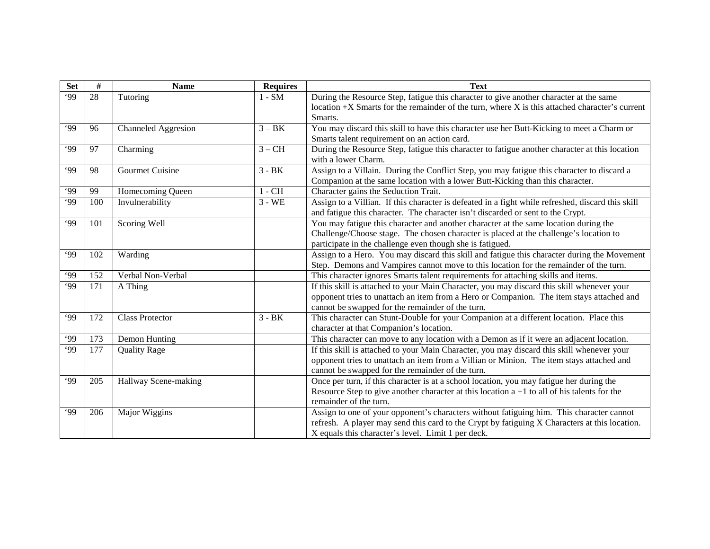| <b>Set</b> | #   | <b>Name</b>                | <b>Requires</b> | <b>Text</b>                                                                                       |
|------------|-----|----------------------------|-----------------|---------------------------------------------------------------------------------------------------|
| .99        | 28  | Tutoring                   | $1 - SM$        | During the Resource Step, fatigue this character to give another character at the same            |
|            |     |                            |                 | location +X Smarts for the remainder of the turn, where X is this attached character's current    |
|            |     |                            |                 | Smarts.                                                                                           |
| .99        | 96  | <b>Channeled Aggresion</b> | $3 - BK$        | You may discard this skill to have this character use her Butt-Kicking to meet a Charm or         |
|            |     |                            |                 | Smarts talent requirement on an action card.                                                      |
| .99        | 97  | Charming                   | $3 - CH$        | During the Resource Step, fatigue this character to fatigue another character at this location    |
|            |     |                            |                 | with a lower Charm.                                                                               |
| .99        | 98  | <b>Gourmet Cuisine</b>     | $3 - BK$        | Assign to a Villain. During the Conflict Step, you may fatigue this character to discard a        |
|            |     |                            |                 | Companion at the same location with a lower Butt-Kicking than this character.                     |
| .99        | 99  | Homecoming Queen           | $1$ - $\rm CH$  | Character gains the Seduction Trait.                                                              |
| .99        | 100 | Invulnerability            | $3 - WE$        | Assign to a Villian. If this character is defeated in a fight while refreshed, discard this skill |
|            |     |                            |                 | and fatigue this character. The character isn't discarded or sent to the Crypt.                   |
| .99        | 101 | Scoring Well               |                 | You may fatigue this character and another character at the same location during the              |
|            |     |                            |                 | Challenge/Choose stage. The chosen character is placed at the challenge's location to             |
|            |     |                            |                 | participate in the challenge even though she is fatigued.                                         |
| .99        | 102 | Warding                    |                 | Assign to a Hero. You may discard this skill and fatigue this character during the Movement       |
|            |     |                            |                 | Step. Demons and Vampires cannot move to this location for the remainder of the turn.             |
| .99        | 152 | Verbal Non-Verbal          |                 | This character ignores Smarts talent requirements for attaching skills and items.                 |
| .99        | 171 | A Thing                    |                 | If this skill is attached to your Main Character, you may discard this skill whenever your        |
|            |     |                            |                 | opponent tries to unattach an item from a Hero or Companion. The item stays attached and          |
|            |     |                            |                 | cannot be swapped for the remainder of the turn.                                                  |
| .99        | 172 | <b>Class Protector</b>     | $3 - BK$        | This character can Stunt-Double for your Companion at a different location. Place this            |
|            |     |                            |                 | character at that Companion's location.                                                           |
| .99        | 173 | Demon Hunting              |                 | This character can move to any location with a Demon as if it were an adjacent location.          |
| 99'        | 177 | <b>Quality Rage</b>        |                 | If this skill is attached to your Main Character, you may discard this skill whenever your        |
|            |     |                            |                 | opponent tries to unattach an item from a Villian or Minion. The item stays attached and          |
|            |     |                            |                 | cannot be swapped for the remainder of the turn.                                                  |
| .99        | 205 | Hallway Scene-making       |                 | Once per turn, if this character is at a school location, you may fatigue her during the          |
|            |     |                            |                 | Resource Step to give another character at this location $a + 1$ to all of his talents for the    |
|            |     |                            |                 | remainder of the turn.                                                                            |
| .99        | 206 | Major Wiggins              |                 | Assign to one of your opponent's characters without fatiguing him. This character cannot          |
|            |     |                            |                 | refresh. A player may send this card to the Crypt by fatiguing X Characters at this location.     |
|            |     |                            |                 | X equals this character's level. Limit 1 per deck.                                                |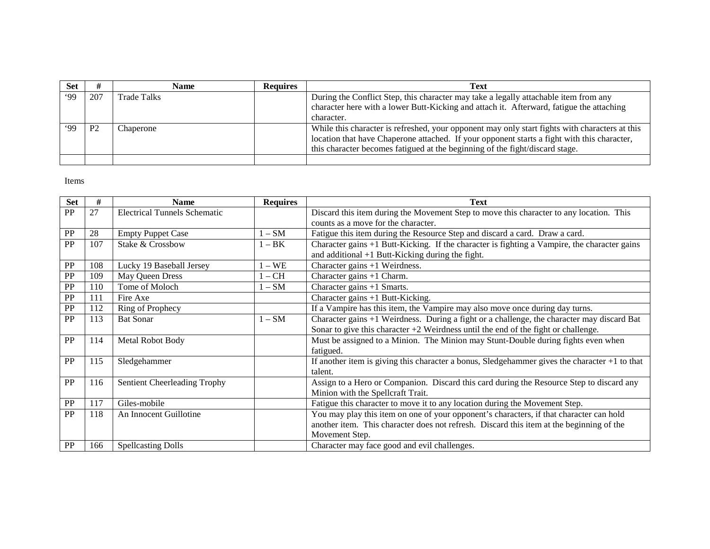| Set |                | <b>Name</b> | <b>Requires</b> | <b>Text</b>                                                                                                                                                                                                                                                                   |
|-----|----------------|-------------|-----------------|-------------------------------------------------------------------------------------------------------------------------------------------------------------------------------------------------------------------------------------------------------------------------------|
| 99  | 207            | Trade Talks |                 | During the Conflict Step, this character may take a legally attachable item from any<br>character here with a lower Butt-Kicking and attach it. Afterward, fatigue the attaching                                                                                              |
|     |                |             |                 | character.                                                                                                                                                                                                                                                                    |
| ۰99 | P <sub>2</sub> | Chaperone   |                 | While this character is refreshed, your opponent may only start fights with characters at this<br>location that have Chaperone attached. If your opponent starts a fight with this character,<br>this character becomes fatigued at the beginning of the fight/discard stage. |
|     |                |             |                 |                                                                                                                                                                                                                                                                               |

## Items

| <b>Set</b> | #   | <b>Name</b>                         | <b>Requires</b> | <b>Text</b>                                                                                     |
|------------|-----|-------------------------------------|-----------------|-------------------------------------------------------------------------------------------------|
| PP         | 27  | <b>Electrical Tunnels Schematic</b> |                 | Discard this item during the Movement Step to move this character to any location. This         |
|            |     |                                     |                 | counts as a move for the character.                                                             |
| PP         | 28  | <b>Empty Puppet Case</b>            | $1-SM$          | Fatigue this item during the Resource Step and discard a card. Draw a card.                     |
| PP         | 107 | Stake & Crossbow                    | $1 - BK$        | Character gains +1 Butt-Kicking. If the character is fighting a Vampire, the character gains    |
|            |     |                                     |                 | and additional $+1$ Butt-Kicking during the fight.                                              |
| PP         | 108 | Lucky 19 Baseball Jersey            | $1 - WE$        | Character gains $+1$ Weirdness.                                                                 |
| PP         | 109 | May Queen Dress                     | $1 - CH$        | Character gains +1 Charm.                                                                       |
| PP         | 110 | Tome of Moloch                      | $-SM$           | Character gains $+1$ Smarts.                                                                    |
| PP         | 111 | Fire Axe                            |                 | Character gains +1 Butt-Kicking.                                                                |
| PP         | 112 | Ring of Prophecy                    |                 | If a Vampire has this item, the Vampire may also move once during day turns.                    |
| PP         | 113 | <b>Bat Sonar</b>                    | $1-SM$          | Character gains +1 Weirdness. During a fight or a challenge, the character may discard Bat      |
|            |     |                                     |                 | Sonar to give this character $+2$ Weirdness until the end of the fight or challenge.            |
| PP         | 114 | Metal Robot Body                    |                 | Must be assigned to a Minion. The Minion may Stunt-Double during fights even when               |
|            |     |                                     |                 | fatigued.                                                                                       |
| <b>PP</b>  | 115 | Sledgehammer                        |                 | If another item is giving this character a bonus, Sledgehammer gives the character $+1$ to that |
|            |     |                                     |                 | talent.                                                                                         |
| PP         | 116 | Sentient Cheerleading Trophy        |                 | Assign to a Hero or Companion. Discard this card during the Resource Step to discard any        |
|            |     |                                     |                 | Minion with the Spellcraft Trait.                                                               |
| PP         | 117 | Giles-mobile                        |                 | Fatigue this character to move it to any location during the Movement Step.                     |
| PP         | 118 | An Innocent Guillotine              |                 | You may play this item on one of your opponent's characters, if that character can hold         |
|            |     |                                     |                 | another item. This character does not refresh. Discard this item at the beginning of the        |
|            |     |                                     |                 | Movement Step.                                                                                  |
| PP         | 166 | <b>Spellcasting Dolls</b>           |                 | Character may face good and evil challenges.                                                    |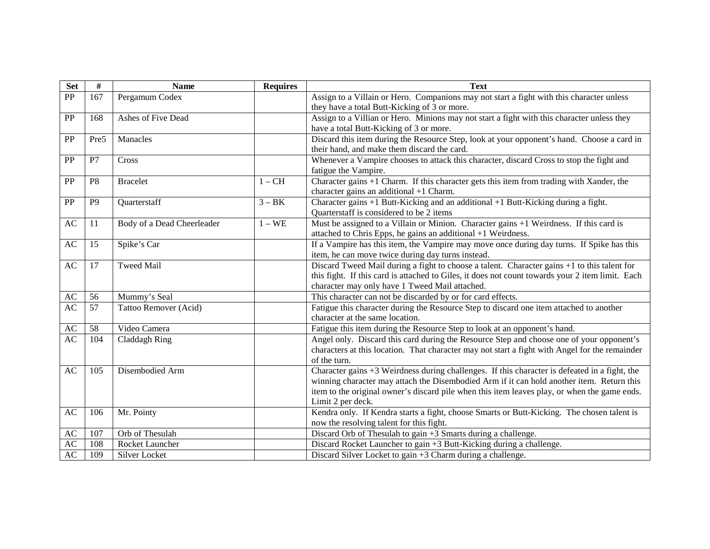| <b>Set</b>             | $\#$           | <b>Name</b>                | <b>Requires</b> | <b>Text</b>                                                                                              |
|------------------------|----------------|----------------------------|-----------------|----------------------------------------------------------------------------------------------------------|
| PP                     | 167            | Pergamum Codex             |                 | Assign to a Villain or Hero. Companions may not start a fight with this character unless                 |
|                        |                |                            |                 | they have a total Butt-Kicking of 3 or more.                                                             |
| <b>PP</b>              | 168            | Ashes of Five Dead         |                 | Assign to a Villian or Hero. Minions may not start a fight with this character unless they               |
|                        |                |                            |                 | have a total Butt-Kicking of 3 or more.                                                                  |
| <b>PP</b>              | Pre5           | Manacles                   |                 | Discard this item during the Resource Step, look at your opponent's hand. Choose a card in               |
|                        |                |                            |                 | their hand, and make them discard the card.                                                              |
| <b>PP</b>              | P7             | Cross                      |                 | Whenever a Vampire chooses to attack this character, discard Cross to stop the fight and                 |
|                        |                |                            |                 | fatigue the Vampire.                                                                                     |
| PP                     | P <sub>8</sub> | <b>Bracelet</b>            | $1 - CH$        | Character gains +1 Charm. If this character gets this item from trading with Xander, the                 |
|                        |                |                            |                 | character gains an additional $+1$ Charm.                                                                |
| PP                     | P <sub>9</sub> | Quarterstaff               | $3 - BK$        | Character gains +1 Butt-Kicking and an additional +1 Butt-Kicking during a fight.                        |
|                        |                |                            |                 | Quarterstaff is considered to be 2 items                                                                 |
| AC                     | 11             | Body of a Dead Cheerleader | $1 - WE$        | Must be assigned to a Villain or Minion. Character gains +1 Weirdness. If this card is                   |
|                        |                |                            |                 | attached to Chris Epps, he gains an additional +1 Weirdness.                                             |
| AC                     | 15             | Spike's Car                |                 | If a Vampire has this item, the Vampire may move once during day turns. If Spike has this                |
|                        |                |                            |                 | item, he can move twice during day turns instead.                                                        |
| AC                     | 17             | <b>Tweed Mail</b>          |                 | Discard Tweed Mail during a fight to choose $\overline{a}$ talent. Character gains +1 to this talent for |
|                        |                |                            |                 | this fight. If this card is attached to Giles, it does not count towards your 2 item limit. Each         |
|                        |                |                            |                 | character may only have 1 Tweed Mail attached.                                                           |
| AC                     | 56             | Mummy's Seal               |                 | This character can not be discarded by or for card effects.                                              |
| AC                     | 57             | Tattoo Remover (Acid)      |                 | Fatigue this character during the Resource Step to discard one item attached to another                  |
|                        |                |                            |                 | character at the same location.                                                                          |
| $\mathbf{A}\mathbf{C}$ | 58             | Video Camera               |                 | Fatigue this item during the Resource Step to look at an opponent's hand.                                |
| AC                     | 104            | Claddagh Ring              |                 | Angel only. Discard this card during the Resource Step and choose one of your opponent's                 |
|                        |                |                            |                 | characters at this location. That character may not start a fight with Angel for the remainder           |
|                        |                |                            |                 | of the turn.                                                                                             |
| AC                     | 105            | Disembodied Arm            |                 | Character gains +3 Weirdness during challenges. If this character is defeated in a fight, the            |
|                        |                |                            |                 | winning character may attach the Disembodied Arm if it can hold another item. Return this                |
|                        |                |                            |                 | item to the original owner's discard pile when this item leaves play, or when the game ends.             |
|                        |                |                            |                 | Limit 2 per deck.                                                                                        |
| AC                     | 106            | Mr. Pointy                 |                 | Kendra only. If Kendra starts a fight, choose Smarts or Butt-Kicking. The chosen talent is               |
|                        |                |                            |                 | now the resolving talent for this fight.                                                                 |
| AC                     | 107            | Orb of Thesulah            |                 | Discard Orb of Thesulah to gain +3 Smarts during a challenge.                                            |
| $\mathbf{A}\mathbf{C}$ | 108            | Rocket Launcher            |                 | Discard Rocket Launcher to gain +3 Butt-Kicking during a challenge.                                      |
| AC                     | 109            | Silver Locket              |                 | Discard Silver Locket to gain +3 Charm during a challenge.                                               |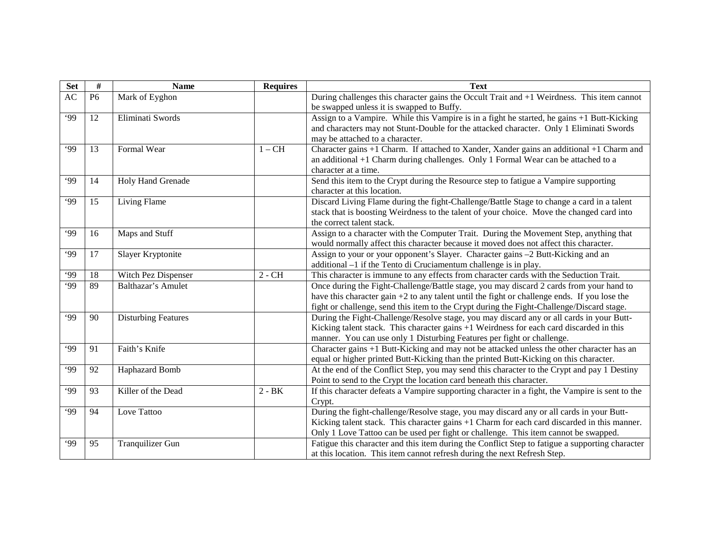| <b>Set</b>      | $\#$            | <b>Name</b>                | <b>Requires</b> | <b>Text</b>                                                                                     |
|-----------------|-----------------|----------------------------|-----------------|-------------------------------------------------------------------------------------------------|
| AC              | P <sub>6</sub>  | Mark of Eyghon             |                 | During challenges this character gains the Occult Trait and +1 Weirdness. This item cannot      |
|                 |                 |                            |                 | be swapped unless it is swapped to Buffy.                                                       |
| .99             | 12              | Eliminati Swords           |                 | Assign to a Vampire. While this Vampire is in a fight he started, he gains +1 Butt-Kicking      |
|                 |                 |                            |                 | and characters may not Stunt-Double for the attacked character. Only 1 Eliminati Swords         |
|                 |                 |                            |                 | may be attached to a character.                                                                 |
| .99             | 13              | Formal Wear                | $1 - CH$        | Character gains +1 Charm. If attached to Xander, Xander gains an additional +1 Charm and        |
|                 |                 |                            |                 | an additional +1 Charm during challenges. Only 1 Formal Wear can be attached to a               |
|                 |                 |                            |                 | character at a time.                                                                            |
| .99             | 14              | Holy Hand Grenade          |                 | Send this item to the Crypt during the Resource step to fatigue a Vampire supporting            |
|                 |                 |                            |                 | character at this location.                                                                     |
| .99             | 15              | Living Flame               |                 | Discard Living Flame during the fight-Challenge/Battle Stage to change a card in a talent       |
|                 |                 |                            |                 | stack that is boosting Weirdness to the talent of your choice. Move the changed card into       |
|                 |                 |                            |                 | the correct talent stack.                                                                       |
| .99             | 16              | Maps and Stuff             |                 | Assign to a character with the Computer Trait. During the Movement Step, anything that          |
|                 |                 |                            |                 | would normally affect this character because it moved does not affect this character.           |
| .99             | 17              | Slayer Kryptonite          |                 | Assign to your or your opponent's Slayer. Character gains -2 Butt-Kicking and an                |
|                 |                 |                            |                 | additional -1 if the Tento di Cruciamentum challenge is in play.                                |
| .99             | 18              | Witch Pez Dispenser        | $2 - CH$        | This character is immune to any effects from character cards with the Seduction Trait.          |
| .99             | 89              | Balthazar's Amulet         |                 | Once during the Fight-Challenge/Battle stage, you may discard 2 cards from your hand to         |
|                 |                 |                            |                 | have this character gain $+2$ to any talent until the fight or challenge ends. If you lose the  |
|                 |                 |                            |                 | fight or challenge, send this item to the Crypt during the Fight-Challenge/Discard stage.       |
| .99             | 90              | <b>Disturbing Features</b> |                 | During the Fight-Challenge/Resolve stage, you may discard any or all cards in your Butt-        |
|                 |                 |                            |                 | Kicking talent stack. This character gains +1 Weirdness for each card discarded in this         |
|                 |                 |                            |                 | manner. You can use only 1 Disturbing Features per fight or challenge.                          |
| $\overline{99}$ | $\overline{91}$ | Faith's Knife              |                 | Character gains +1 Butt-Kicking and may not be attacked unless the other character has an       |
|                 |                 |                            |                 | equal or higher printed Butt-Kicking than the printed Butt-Kicking on this character.           |
| .99             | 92              | Haphazard Bomb             |                 | At the end of the Conflict Step, you may send this character to the Crypt and pay 1 Destiny     |
|                 |                 |                            |                 | Point to send to the Crypt the location card beneath this character.                            |
| .99             | 93              | Killer of the Dead         | $2 - BK$        | If this character defeats a Vampire supporting character in a fight, the Vampire is sent to the |
|                 |                 |                            |                 | Crypt.                                                                                          |
| .99             | 94              | Love Tattoo                |                 | During the fight-challenge/Resolve stage, you may discard any or all cards in your Butt-        |
|                 |                 |                            |                 | Kicking talent stack. This character gains +1 Charm for each card discarded in this manner.     |
|                 |                 |                            |                 | Only 1 Love Tattoo can be used per fight or challenge. This item cannot be swapped.             |
| .99             | 95              | Tranquilizer Gun           |                 | Fatigue this character and this item during the Conflict Step to fatigue a supporting character |
|                 |                 |                            |                 | at this location. This item cannot refresh during the next Refresh Step.                        |